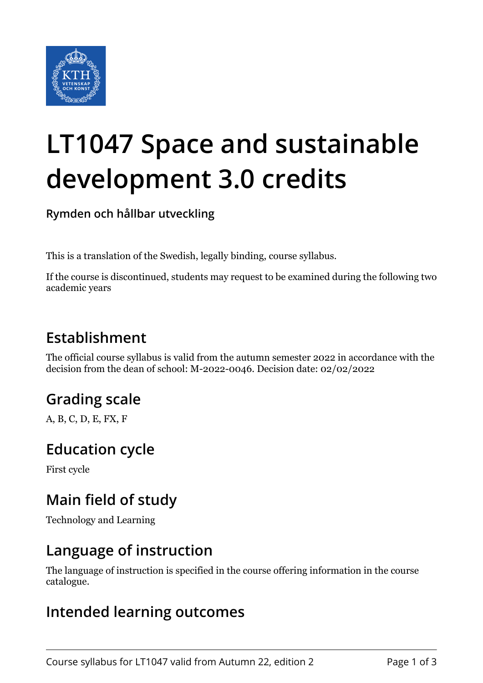

# **LT1047 Space and sustainable development 3.0 credits**

**Rymden och hållbar utveckling**

This is a translation of the Swedish, legally binding, course syllabus.

If the course is discontinued, students may request to be examined during the following two academic years

# **Establishment**

The official course syllabus is valid from the autumn semester 2022 in accordance with the decision from the dean of school: M-2022-0046. Decision date: 02/02/2022

# **Grading scale**

A, B, C, D, E, FX, F

#### **Education cycle**

First cycle

# **Main field of study**

Technology and Learning

#### **Language of instruction**

The language of instruction is specified in the course offering information in the course catalogue.

#### **Intended learning outcomes**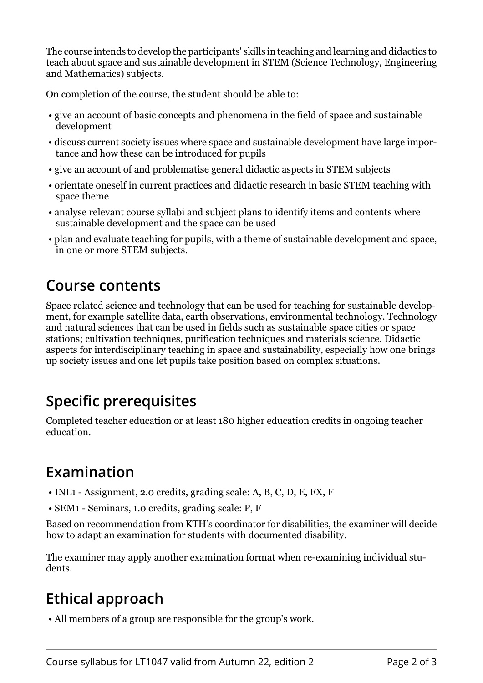The course intends to develop the participants' skills in teaching and learning and didactics to teach about space and sustainable development in STEM (Science Technology, Engineering and Mathematics) subjects.

On completion of the course, the student should be able to:

- give an account of basic concepts and phenomena in the field of space and sustainable development
- discuss current society issues where space and sustainable development have large importance and how these can be introduced for pupils
- give an account of and problematise general didactic aspects in STEM subjects
- orientate oneself in current practices and didactic research in basic STEM teaching with space theme
- analyse relevant course syllabi and subject plans to identify items and contents where sustainable development and the space can be used
- plan and evaluate teaching for pupils, with a theme of sustainable development and space, in one or more STEM subjects.

#### **Course contents**

Space related science and technology that can be used for teaching for sustainable development, for example satellite data, earth observations, environmental technology. Technology and natural sciences that can be used in fields such as sustainable space cities or space stations; cultivation techniques, purification techniques and materials science. Didactic aspects for interdisciplinary teaching in space and sustainability, especially how one brings up society issues and one let pupils take position based on complex situations.

# **Specific prerequisites**

Completed teacher education or at least 180 higher education credits in ongoing teacher education.

# **Examination**

- INL1 Assignment, 2.0 credits, grading scale: A, B, C, D, E, FX, F
- SEM1 Seminars, 1.0 credits, grading scale: P, F

Based on recommendation from KTH's coordinator for disabilities, the examiner will decide how to adapt an examination for students with documented disability.

The examiner may apply another examination format when re-examining individual students.

# **Ethical approach**

• All members of a group are responsible for the group's work.